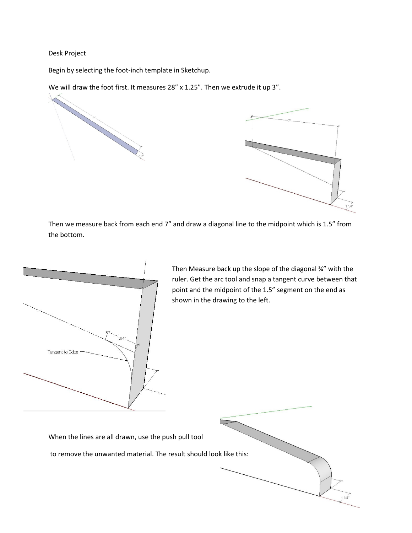## Desk Project

Begin by selecting the foot‐inch template in Sketchup.

We will draw the foot first. It measures 28" x 1.25". Then we extrude it up 3".



Then we measure back from each end 7" and draw a diagonal line to the midpoint which is 1.5" from the bottom.



Then Measure back up the slope of the diagonal ¾" with the ruler. Get the arc tool and snap a tangent curve between that point and the midpoint of the 1.5" segment on the end as shown in the drawing to the left.

 $11/4"$ 

When the lines are all drawn, use the push pull tool

to remove the unwanted material. The result should look like this: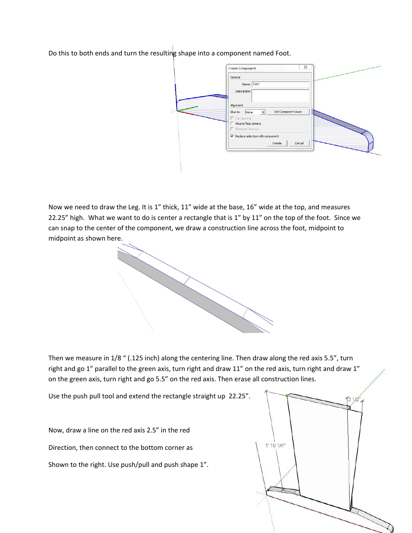Do this to both ends and turn the resulting shape into a component named Foot.

|  | General                                                |  |
|--|--------------------------------------------------------|--|
|  | Name: Foot<br>Description:                             |  |
|  | Alignment                                              |  |
|  | Set Component Axes<br>Glue to:<br>None<br>$\mathbf{r}$ |  |
|  | $\Gamma$ Cut opening<br>Always face camera             |  |
|  | Shadows face sun                                       |  |
|  | $\overline{\nabla}$ Replace selection with component   |  |
|  | Cancel<br>Create                                       |  |
|  |                                                        |  |

Now we need to draw the Leg. It is 1" thick, 11" wide at the base, 16" wide at the top, and measures 22.25" high. What we want to do is center a rectangle that is 1" by 11" on the top of the foot. Since we can snap to the center of the component, we draw a construction line across the foot, midpoint to midpoint as shown here.

Then we measure in 1/8 " (.125 inch) along the centering line. Then draw along the red axis 5.5", turn right and go 1" parallel to the green axis, turn right and draw 11" on the red axis, turn right and draw 1" on the green axis, turn right and go 5.5" on the red axis. Then erase all construction lines.

Use the push pull tool and extend the rectangle straight up 22.25".

Now, draw a line on the red axis 2.5" in the red Direction, then connect to the bottom corner as Shown to the right. Use push/pull and push shape 1".